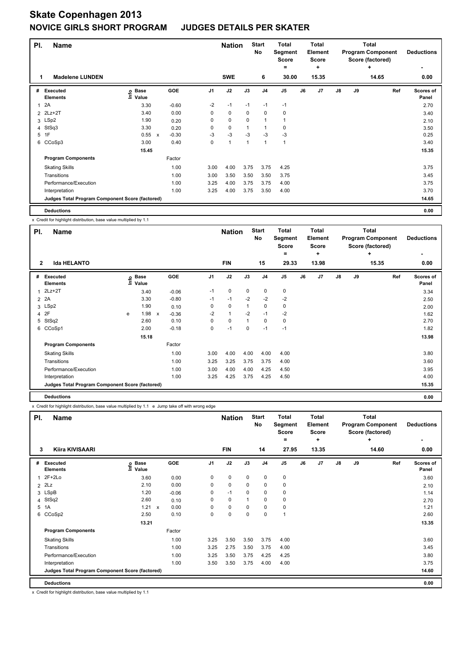| PI. | <b>Name</b>                                     |                              |              |            |                | <b>Nation</b>  |                | <b>Start</b><br><b>No</b> | <b>Total</b><br>Segment<br><b>Score</b> |    | Total<br>Element<br><b>Score</b> |               |    | <b>Total</b><br><b>Program Component</b><br>Score (factored) | <b>Deductions</b>  |
|-----|-------------------------------------------------|------------------------------|--------------|------------|----------------|----------------|----------------|---------------------------|-----------------------------------------|----|----------------------------------|---------------|----|--------------------------------------------------------------|--------------------|
| 1   | <b>Madelene LUNDEN</b>                          |                              |              |            |                | <b>SWE</b>     |                | 6                         | =<br>30.00                              |    | $\ddot{}$<br>15.35               |               |    | ٠<br>14.65                                                   | ۰<br>0.00          |
| #   | Executed<br><b>Elements</b>                     | <b>Base</b><br>lnfo<br>Value |              | <b>GOE</b> | J <sub>1</sub> | J2             | J3             | J <sub>4</sub>            | J <sub>5</sub>                          | J6 | J <sub>7</sub>                   | $\mathsf{J}8$ | J9 | Ref                                                          | Scores of<br>Panel |
| 1   | 2A                                              | 3.30                         |              | $-0.60$    | $-2$           | $-1$           | $-1$           | $-1$                      | $-1$                                    |    |                                  |               |    |                                                              | 2.70               |
|     | 2 2Lz+2T                                        | 3.40                         |              | 0.00       | 0              | 0              | 0              | 0                         | 0                                       |    |                                  |               |    |                                                              | 3.40               |
|     | 3 LSp2                                          | 1.90                         |              | 0.20       | 0              | $\mathbf 0$    | 0              | $\mathbf{1}$              | 1                                       |    |                                  |               |    |                                                              | 2.10               |
|     | 4 StSq3                                         | 3.30                         |              | 0.20       | 0              | 0              |                | $\overline{\phantom{a}}$  | 0                                       |    |                                  |               |    |                                                              | 3.50               |
| 5   | 1F                                              | 0.55                         | $\mathsf{x}$ | $-0.30$    | -3             | $-3$           | $-3$           | $-3$                      | $-3$                                    |    |                                  |               |    |                                                              | 0.25               |
|     | 6 CCoSp3                                        | 3.00                         |              | 0.40       | 0              | $\overline{1}$ | $\overline{1}$ | $\overline{1}$            | 1                                       |    |                                  |               |    |                                                              | 3.40               |
|     |                                                 | 15.45                        |              |            |                |                |                |                           |                                         |    |                                  |               |    |                                                              | 15.35              |
|     | <b>Program Components</b>                       |                              |              | Factor     |                |                |                |                           |                                         |    |                                  |               |    |                                                              |                    |
|     | <b>Skating Skills</b>                           |                              |              | 1.00       | 3.00           | 4.00           | 3.75           | 3.75                      | 4.25                                    |    |                                  |               |    |                                                              | 3.75               |
|     | Transitions                                     |                              |              | 1.00       | 3.00           | 3.50           | 3.50           | 3.50                      | 3.75                                    |    |                                  |               |    |                                                              | 3.45               |
|     | Performance/Execution                           |                              |              | 1.00       | 3.25           | 4.00           | 3.75           | 3.75                      | 4.00                                    |    |                                  |               |    |                                                              | 3.75               |
|     | Interpretation                                  |                              |              | 1.00       | 3.25           | 4.00           | 3.75           | 3.50                      | 4.00                                    |    |                                  |               |    |                                                              | 3.70               |
|     | Judges Total Program Component Score (factored) |                              |              |            |                |                |                |                           |                                         |    |                                  |               |    |                                                              | 14.65              |
|     | <b>Deductions</b>                               |                              |              |            |                |                |                |                           |                                         |    |                                  |               |    |                                                              | 0.00               |

x Credit for highlight distribution, base value multiplied by 1.1

| PI.            | <b>Name</b>                                     |      |                      |              |         |                | <b>Nation</b> |              | <b>Start</b><br><b>No</b> | <b>Total</b><br>Segment<br><b>Score</b><br>۰ |    | Total<br>Element<br><b>Score</b><br>٠ |    |    | <b>Total</b><br><b>Program Component</b><br>Score (factored)<br>÷ | <b>Deductions</b>  |
|----------------|-------------------------------------------------|------|----------------------|--------------|---------|----------------|---------------|--------------|---------------------------|----------------------------------------------|----|---------------------------------------|----|----|-------------------------------------------------------------------|--------------------|
| $\overline{2}$ | <b>Ida HELANTO</b>                              |      |                      |              |         |                | <b>FIN</b>    |              | 15                        | 29.33                                        |    | 13.98                                 |    |    | 15.35                                                             | 0.00               |
| #              | <b>Executed</b><br><b>Elements</b>              | lnfo | <b>Base</b><br>Value |              | GOE     | J <sub>1</sub> | J2            | J3           | J <sub>4</sub>            | J <sub>5</sub>                               | J6 | J7                                    | J8 | J9 | Ref                                                               | Scores of<br>Panel |
|                | $2Lz+2T$                                        |      | 3.40                 |              | $-0.06$ | $-1$           | $\mathbf 0$   | $\mathbf 0$  | 0                         | 0                                            |    |                                       |    |    |                                                                   | 3.34               |
|                | 2 2A                                            |      | 3.30                 |              | $-0.80$ | $-1$           | $-1$          | $-2$         | $-2$                      | $-2$                                         |    |                                       |    |    |                                                                   | 2.50               |
|                | 3 LSp2                                          |      | 1.90                 |              | 0.10    | 0              | $\pmb{0}$     | $\mathbf{1}$ | 0                         | 0                                            |    |                                       |    |    |                                                                   | 2.00               |
| $\overline{4}$ | 2F                                              | e    | 1.98                 | $\mathsf{x}$ | $-0.36$ | $-2$           | $\mathbf{1}$  | $-2$         | $-1$                      | $-2$                                         |    |                                       |    |    |                                                                   | 1.62               |
| 5              | StSq2                                           |      | 2.60                 |              | 0.10    | 0              | $\pmb{0}$     | 1            | 0                         | 0                                            |    |                                       |    |    |                                                                   | 2.70               |
|                | 6 CCoSp1                                        |      | 2.00                 |              | $-0.18$ | 0              | $-1$          | 0            | $-1$                      | $-1$                                         |    |                                       |    |    |                                                                   | 1.82               |
|                |                                                 |      | 15.18                |              |         |                |               |              |                           |                                              |    |                                       |    |    |                                                                   | 13.98              |
|                | <b>Program Components</b>                       |      |                      |              | Factor  |                |               |              |                           |                                              |    |                                       |    |    |                                                                   |                    |
|                | <b>Skating Skills</b>                           |      |                      |              | 1.00    | 3.00           | 4.00          | 4.00         | 4.00                      | 4.00                                         |    |                                       |    |    |                                                                   | 3.80               |
|                | Transitions                                     |      |                      |              | 1.00    | 3.25           | 3.25          | 3.75         | 3.75                      | 4.00                                         |    |                                       |    |    |                                                                   | 3.60               |
|                | Performance/Execution                           |      |                      |              | 1.00    | 3.00           | 4.00          | 4.00         | 4.25                      | 4.50                                         |    |                                       |    |    |                                                                   | 3.95               |
|                | Interpretation                                  |      |                      |              | 1.00    | 3.25           | 4.25          | 3.75         | 4.25                      | 4.50                                         |    |                                       |    |    |                                                                   | 4.00               |
|                | Judges Total Program Component Score (factored) |      |                      |              |         |                |               |              |                           |                                              |    |                                       |    |    |                                                                   | 15.35              |
|                | <b>Deductions</b>                               |      |                      |              |         |                |               |              |                           |                                              |    |                                       |    |    |                                                                   | 0.00               |

x Credit for highlight distribution, base value multiplied by 1.1 e Jump take off with wrong edge

| PI. | <b>Name</b>                                     |                   |                      |      | <b>Nation</b> |          | <b>Start</b><br>No | <b>Total</b><br>Segment<br><b>Score</b><br>$=$ |    | <b>Total</b><br>Element<br><b>Score</b><br>÷ |               |    | <b>Total</b><br><b>Program Component</b><br>Score (factored)<br>÷ | <b>Deductions</b>  |
|-----|-------------------------------------------------|-------------------|----------------------|------|---------------|----------|--------------------|------------------------------------------------|----|----------------------------------------------|---------------|----|-------------------------------------------------------------------|--------------------|
| 3   | Kiira KIVISAARI                                 |                   |                      |      | <b>FIN</b>    |          | 14                 | 27.95                                          |    | 13.35                                        |               |    | 14.60                                                             | 0.00               |
| #   | Executed<br><b>Elements</b>                     | e Base<br>⊑ Value | GOE                  | J1   | J2            | J3       | J <sub>4</sub>     | J <sub>5</sub>                                 | J6 | J <sub>7</sub>                               | $\mathsf{J}8$ | J9 | Ref                                                               | Scores of<br>Panel |
| 1   | $2F+2Lo$                                        | 3.60              | 0.00                 | 0    | 0             | 0        | 0                  | 0                                              |    |                                              |               |    |                                                                   | 3.60               |
|     | $2$ $2Lz$                                       | 2.10              | 0.00                 | 0    | 0             | 0        | 0                  | 0                                              |    |                                              |               |    |                                                                   | 2.10               |
|     | 3 LSpB                                          | 1.20              | $-0.06$              | 0    | $-1$          | 0        | 0                  | 0                                              |    |                                              |               |    |                                                                   | 1.14               |
|     | 4 StSq2                                         | 2.60              | 0.10                 | 0    | 0             |          | 0                  | 0                                              |    |                                              |               |    |                                                                   | 2.70               |
|     | 5 1A                                            | 1.21              | 0.00<br>$\mathsf{x}$ | 0    | $\mathbf 0$   | $\Omega$ | $\mathbf 0$        | 0                                              |    |                                              |               |    |                                                                   | 1.21               |
| 6   | CCoSp2                                          | 2.50              | 0.10                 | 0    | $\mathbf 0$   | $\Omega$ | $\mathbf 0$        | 1                                              |    |                                              |               |    |                                                                   | 2.60               |
|     |                                                 | 13.21             |                      |      |               |          |                    |                                                |    |                                              |               |    |                                                                   | 13.35              |
|     | <b>Program Components</b>                       |                   | Factor               |      |               |          |                    |                                                |    |                                              |               |    |                                                                   |                    |
|     | <b>Skating Skills</b>                           |                   | 1.00                 | 3.25 | 3.50          | 3.50     | 3.75               | 4.00                                           |    |                                              |               |    |                                                                   | 3.60               |
|     | Transitions                                     |                   | 1.00                 | 3.25 | 2.75          | 3.50     | 3.75               | 4.00                                           |    |                                              |               |    |                                                                   | 3.45               |
|     | Performance/Execution                           |                   | 1.00                 | 3.25 | 3.50          | 3.75     | 4.25               | 4.25                                           |    |                                              |               |    |                                                                   | 3.80               |
|     | Interpretation                                  |                   | 1.00                 | 3.50 | 3.50          | 3.75     | 4.00               | 4.00                                           |    |                                              |               |    |                                                                   | 3.75               |
|     | Judges Total Program Component Score (factored) |                   |                      |      |               |          |                    |                                                |    |                                              |               |    |                                                                   | 14.60              |
|     | <b>Deductions</b>                               |                   |                      |      |               |          |                    |                                                |    |                                              |               |    |                                                                   | 0.00               |

x Credit for highlight distribution, base value multiplied by 1.1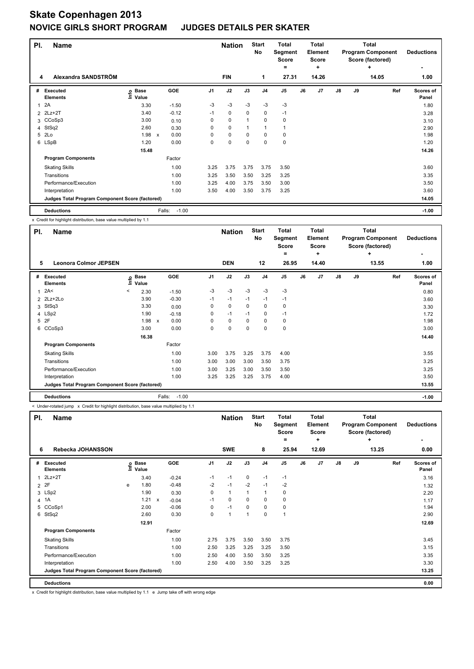| PI. | <b>Name</b>                                     |                            |                           |                   |                | <b>Nation</b> |      | <b>Start</b><br>No | <b>Total</b><br>Segment<br><b>Score</b><br>٠ |    | <b>Total</b><br>Element<br><b>Score</b><br>٠ |               |    | <b>Total</b><br><b>Program Component</b><br>Score (factored)<br>٠ | <b>Deductions</b><br>۰ |
|-----|-------------------------------------------------|----------------------------|---------------------------|-------------------|----------------|---------------|------|--------------------|----------------------------------------------|----|----------------------------------------------|---------------|----|-------------------------------------------------------------------|------------------------|
| 4   | Alexandra SANDSTRÖM                             |                            |                           |                   |                | <b>FIN</b>    |      | 1                  | 27.31                                        |    | 14.26                                        |               |    | 14.05                                                             | 1.00                   |
| #   | Executed<br><b>Elements</b>                     | e Base<br>⊑ Value<br>Value |                           | <b>GOE</b>        | J <sub>1</sub> | J2            | J3   | J <sub>4</sub>     | J <sub>5</sub>                               | J6 | J7                                           | $\mathsf{J}8$ | J9 | Ref                                                               | Scores of<br>Panel     |
| 1   | 2A                                              | 3.30                       |                           | $-1.50$           | $-3$           | $-3$          | -3   | -3                 | $-3$                                         |    |                                              |               |    |                                                                   | 1.80                   |
|     | 2 2Lz+2T                                        | 3.40                       |                           | $-0.12$           | $-1$           | 0             | 0    | 0                  | $-1$                                         |    |                                              |               |    |                                                                   | 3.28                   |
|     | 3 CCoSp3                                        | 3.00                       |                           | 0.10              | 0              | $\mathbf 0$   | 1    | 0                  | 0                                            |    |                                              |               |    |                                                                   | 3.10                   |
|     | 4 StSq2                                         | 2.60                       |                           | 0.30              | 0              | 0             |      | $\mathbf{1}$       | 1                                            |    |                                              |               |    |                                                                   | 2.90                   |
| 5   | 2Lo                                             | 1.98                       | $\boldsymbol{\mathsf{x}}$ | 0.00              | 0              | $\mathbf 0$   | 0    | $\mathbf 0$        | 0                                            |    |                                              |               |    |                                                                   | 1.98                   |
|     | 6 LSpB                                          | 1.20                       |                           | 0.00              | 0              | $\mathbf 0$   | 0    | $\mathbf 0$        | $\mathbf 0$                                  |    |                                              |               |    |                                                                   | 1.20                   |
|     |                                                 | 15.48                      |                           |                   |                |               |      |                    |                                              |    |                                              |               |    |                                                                   | 14.26                  |
|     | <b>Program Components</b>                       |                            |                           | Factor            |                |               |      |                    |                                              |    |                                              |               |    |                                                                   |                        |
|     | <b>Skating Skills</b>                           |                            |                           | 1.00              | 3.25           | 3.75          | 3.75 | 3.75               | 3.50                                         |    |                                              |               |    |                                                                   | 3.60                   |
|     | Transitions                                     |                            |                           | 1.00              | 3.25           | 3.50          | 3.50 | 3.25               | 3.25                                         |    |                                              |               |    |                                                                   | 3.35                   |
|     | Performance/Execution                           |                            |                           | 1.00              | 3.25           | 4.00          | 3.75 | 3.50               | 3.00                                         |    |                                              |               |    |                                                                   | 3.50                   |
|     | Interpretation                                  |                            |                           | 1.00              | 3.50           | 4.00          | 3.50 | 3.75               | 3.25                                         |    |                                              |               |    |                                                                   | 3.60                   |
|     | Judges Total Program Component Score (factored) |                            |                           |                   |                |               |      |                    |                                              |    |                                              |               |    |                                                                   | 14.05                  |
|     | <b>Deductions</b>                               |                            |                           | $-1.00$<br>Falls: |                |               |      |                    |                                              |    |                                              |               |    |                                                                   | $-1.00$                |

x Credit for highlight distribution, base value multiplied by 1.1

| PI. | <b>Name</b>                                     |         |                            |                                   |          | <b>Nation</b> |          | <b>Start</b><br><b>No</b> | Total<br>Segment<br><b>Score</b><br>۰ |    | <b>Total</b><br>Element<br><b>Score</b><br>÷ |               |    | <b>Total</b><br><b>Program Component</b><br>Score (factored)<br>÷ | <b>Deductions</b>  |
|-----|-------------------------------------------------|---------|----------------------------|-----------------------------------|----------|---------------|----------|---------------------------|---------------------------------------|----|----------------------------------------------|---------------|----|-------------------------------------------------------------------|--------------------|
| 5   | <b>Leonora Colmor JEPSEN</b>                    |         |                            |                                   |          | <b>DEN</b>    |          | 12                        | 26.95                                 |    | 14.40                                        |               |    | 13.55                                                             | 1.00               |
| #   | <b>Executed</b><br><b>Elements</b>              |         | e Base<br>⊆ Value<br>Value | GOE                               | J1       | J2            | J3       | J <sub>4</sub>            | J <sub>5</sub>                        | J6 | J7                                           | $\mathsf{J}8$ | J9 | Ref                                                               | Scores of<br>Panel |
| 1   | 2A<                                             | $\prec$ | 2.30                       | $-1.50$                           | $-3$     | $-3$          | -3       | $-3$                      | $-3$                                  |    |                                              |               |    |                                                                   | 0.80               |
| 2   | 2Lz+2Lo                                         |         | 3.90                       | $-0.30$                           | $-1$     | $-1$          | $-1$     | $-1$                      | $-1$                                  |    |                                              |               |    |                                                                   | 3.60               |
| 3   | StSq3                                           |         | 3.30                       | 0.00                              | 0        | $\mathbf 0$   | 0        | 0                         | 0                                     |    |                                              |               |    |                                                                   | 3.30               |
|     | 4 LSp2                                          |         | 1.90                       | $-0.18$                           | 0        | $-1$          | $-1$     | 0                         | $-1$                                  |    |                                              |               |    |                                                                   | 1.72               |
| 5   | 2F                                              |         | 1.98                       | 0.00<br>$\boldsymbol{\mathsf{x}}$ | $\Omega$ | $\mathbf 0$   | $\Omega$ | 0                         | 0                                     |    |                                              |               |    |                                                                   | 1.98               |
| 6   | CCoSp3                                          |         | 3.00                       | 0.00                              | $\Omega$ | 0             | $\Omega$ | $\mathbf 0$               | 0                                     |    |                                              |               |    |                                                                   | 3.00               |
|     |                                                 |         | 16.38                      |                                   |          |               |          |                           |                                       |    |                                              |               |    |                                                                   | 14.40              |
|     | <b>Program Components</b>                       |         |                            | Factor                            |          |               |          |                           |                                       |    |                                              |               |    |                                                                   |                    |
|     | <b>Skating Skills</b>                           |         |                            | 1.00                              | 3.00     | 3.75          | 3.25     | 3.75                      | 4.00                                  |    |                                              |               |    |                                                                   | 3.55               |
|     | Transitions                                     |         |                            | 1.00                              | 3.00     | 3.00          | 3.00     | 3.50                      | 3.75                                  |    |                                              |               |    |                                                                   | 3.25               |
|     | Performance/Execution                           |         |                            | 1.00                              | 3.00     | 3.25          | 3.00     | 3.50                      | 3.50                                  |    |                                              |               |    |                                                                   | 3.25               |
|     | Interpretation                                  |         |                            | 1.00                              | 3.25     | 3.25          | 3.25     | 3.75                      | 4.00                                  |    |                                              |               |    |                                                                   | 3.50               |
|     | Judges Total Program Component Score (factored) |         |                            |                                   |          |               |          |                           |                                       |    |                                              |               |    |                                                                   | 13.55              |
|     | <b>Deductions</b>                               |         |                            | Falls:                            | $-1.00$  |               |          |                           |                                       |    |                                              |               |    |                                                                   | $-1.00$            |

< Under-rotated jump x Credit for highlight distribution, base value multiplied by 1.1

| PI. | <b>Name</b>                                     |   |                            |                           |            |      | <b>Nation</b> |          | <b>Start</b><br>No | <b>Total</b><br>Segment<br><b>Score</b><br>$=$ |    | Total<br>Element<br><b>Score</b><br>÷ |               |    | <b>Total</b><br><b>Program Component</b><br>Score (factored)<br>÷ | <b>Deductions</b>  |
|-----|-------------------------------------------------|---|----------------------------|---------------------------|------------|------|---------------|----------|--------------------|------------------------------------------------|----|---------------------------------------|---------------|----|-------------------------------------------------------------------|--------------------|
| 6   | Rebecka JOHANSSON                               |   |                            |                           |            |      | <b>SWE</b>    |          | 8                  | 25.94                                          |    | 12.69                                 |               |    | 13.25                                                             | 0.00               |
| #   | <b>Executed</b><br><b>Elements</b>              |   | e Base<br>E Value<br>Value |                           | <b>GOE</b> | J1   | J2            | J3       | J <sub>4</sub>     | J <sub>5</sub>                                 | J6 | J7                                    | $\mathsf{J}8$ | J9 | Ref                                                               | Scores of<br>Panel |
| 1   | $2Lz+2T$                                        |   | 3.40                       |                           | $-0.24$    | $-1$ | $-1$          | 0        | $-1$               | $-1$                                           |    |                                       |               |    |                                                                   | 3.16               |
| 2   | 2F                                              | e | 1.80                       |                           | $-0.48$    | $-2$ | $-1$          | $-2$     | $-1$               | $-2$                                           |    |                                       |               |    |                                                                   | 1.32               |
|     | 3 LSp2                                          |   | 1.90                       |                           | 0.30       | 0    | $\mathbf{1}$  | 1        | 1                  | 0                                              |    |                                       |               |    |                                                                   | 2.20               |
|     | 4 1A                                            |   | 1.21                       | $\boldsymbol{\mathsf{x}}$ | $-0.04$    | $-1$ | $\Omega$      | $\Omega$ | $\Omega$           | 0                                              |    |                                       |               |    |                                                                   | 1.17               |
| 5   | CCoSp1                                          |   | 2.00                       |                           | $-0.06$    | 0    | $-1$          | $\Omega$ | $\mathbf 0$        | 0                                              |    |                                       |               |    |                                                                   | 1.94               |
| 6   | StSq2                                           |   | 2.60                       |                           | 0.30       | 0    | 1             | 1        | $\mathbf 0$        | 1                                              |    |                                       |               |    |                                                                   | 2.90               |
|     |                                                 |   | 12.91                      |                           |            |      |               |          |                    |                                                |    |                                       |               |    |                                                                   | 12.69              |
|     | <b>Program Components</b>                       |   |                            |                           | Factor     |      |               |          |                    |                                                |    |                                       |               |    |                                                                   |                    |
|     | <b>Skating Skills</b>                           |   |                            |                           | 1.00       | 2.75 | 3.75          | 3.50     | 3.50               | 3.75                                           |    |                                       |               |    |                                                                   | 3.45               |
|     | Transitions                                     |   |                            |                           | 1.00       | 2.50 | 3.25          | 3.25     | 3.25               | 3.50                                           |    |                                       |               |    |                                                                   | 3.15               |
|     | Performance/Execution                           |   |                            |                           | 1.00       | 2.50 | 4.00          | 3.50     | 3.50               | 3.25                                           |    |                                       |               |    |                                                                   | 3.35               |
|     | Interpretation                                  |   |                            |                           | 1.00       | 2.50 | 4.00          | 3.50     | 3.25               | 3.25                                           |    |                                       |               |    |                                                                   | 3.30               |
|     | Judges Total Program Component Score (factored) |   |                            |                           |            |      |               |          |                    |                                                |    |                                       |               |    |                                                                   | 13.25              |
|     | <b>Deductions</b>                               |   |                            |                           |            |      |               |          |                    |                                                |    |                                       |               |    |                                                                   | 0.00               |

x Credit for highlight distribution, base value multiplied by 1.1 e Jump take off with wrong edge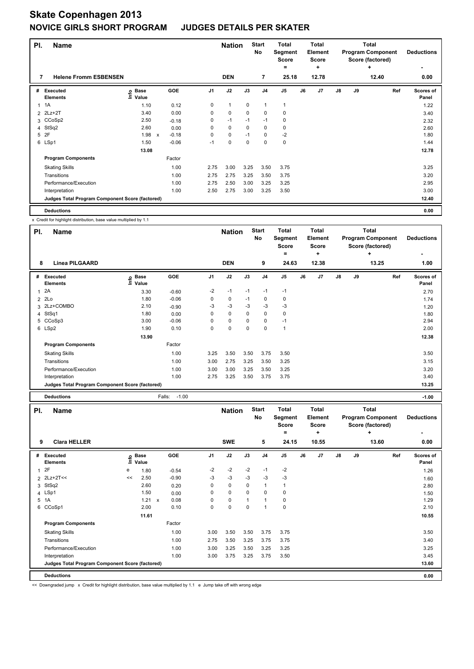| PI. | <b>Name</b>                                     |                   |              |            |                | <b>Nation</b> |      | <b>Start</b><br>No | <b>Total</b><br>Segment<br><b>Score</b><br>= |    | <b>Total</b><br>Element<br><b>Score</b><br>٠ |               |    | <b>Total</b><br><b>Program Component</b><br>Score (factored)<br>÷ | <b>Deductions</b><br>٠ |
|-----|-------------------------------------------------|-------------------|--------------|------------|----------------|---------------|------|--------------------|----------------------------------------------|----|----------------------------------------------|---------------|----|-------------------------------------------------------------------|------------------------|
| 7   | <b>Helene Fromm ESBENSEN</b>                    |                   |              |            |                | <b>DEN</b>    |      | 7                  | 25.18                                        |    | 12.78                                        |               |    | 12.40                                                             | 0.00                   |
| #   | Executed<br><b>Elements</b>                     | o Base<br>⊆ Value |              | <b>GOE</b> | J <sub>1</sub> | J2            | J3   | J <sub>4</sub>     | J5                                           | J6 | J7                                           | $\mathsf{J}8$ | J9 | Ref                                                               | Scores of<br>Panel     |
|     | 1A                                              | 1.10              |              | 0.12       | 0              | $\mathbf{1}$  | 0    | $\overline{1}$     | 1                                            |    |                                              |               |    |                                                                   | 1.22                   |
|     | 2 2Lz+2T                                        | 3.40              |              | 0.00       | 0              | 0             | 0    | 0                  | 0                                            |    |                                              |               |    |                                                                   | 3.40                   |
|     | 3 CCoSp2                                        | 2.50              |              | $-0.18$    | 0              | $-1$          | $-1$ | $-1$               | 0                                            |    |                                              |               |    |                                                                   | 2.32                   |
|     | 4 StSq2                                         | 2.60              |              | 0.00       | 0              | $\mathbf 0$   | 0    | 0                  | 0                                            |    |                                              |               |    |                                                                   | 2.60                   |
| 5   | 2F                                              | 1.98              | $\mathsf{x}$ | $-0.18$    | 0              | $\mathbf 0$   | $-1$ | $\mathbf 0$        | $-2$                                         |    |                                              |               |    |                                                                   | 1.80                   |
|     | 6 LSp1                                          | 1.50              |              | $-0.06$    | $-1$           | 0             | 0    | $\mathbf 0$        | $\pmb{0}$                                    |    |                                              |               |    |                                                                   | 1.44                   |
|     |                                                 | 13.08             |              |            |                |               |      |                    |                                              |    |                                              |               |    |                                                                   | 12.78                  |
|     | <b>Program Components</b>                       |                   |              | Factor     |                |               |      |                    |                                              |    |                                              |               |    |                                                                   |                        |
|     | <b>Skating Skills</b>                           |                   |              | 1.00       | 2.75           | 3.00          | 3.25 | 3.50               | 3.75                                         |    |                                              |               |    |                                                                   | 3.25                   |
|     | Transitions                                     |                   |              | 1.00       | 2.75           | 2.75          | 3.25 | 3.50               | 3.75                                         |    |                                              |               |    |                                                                   | 3.20                   |
|     | Performance/Execution                           |                   |              | 1.00       | 2.75           | 2.50          | 3.00 | 3.25               | 3.25                                         |    |                                              |               |    |                                                                   | 2.95                   |
|     | Interpretation                                  |                   |              | 1.00       | 2.50           | 2.75          | 3.00 | 3.25               | 3.50                                         |    |                                              |               |    |                                                                   | 3.00                   |
|     | Judges Total Program Component Score (factored) |                   |              |            |                |               |      |                    |                                              |    |                                              |               |    |                                                                   | 12.40                  |
|     | <b>Deductions</b>                               |                   |              |            |                |               |      |                    |                                              |    |                                              |               |    |                                                                   | 0.00                   |

x Credit for highlight distribution, base value multiplied by 1.1

| PI. | <b>Name</b>                                     |                              |                   |                | <b>Nation</b> |          | <b>Start</b><br>No | <b>Total</b><br>Segment<br><b>Score</b> |    | <b>Total</b><br>Element<br><b>Score</b> |    |    | <b>Total</b><br><b>Program Component</b><br>Score (factored) | <b>Deductions</b>  |
|-----|-------------------------------------------------|------------------------------|-------------------|----------------|---------------|----------|--------------------|-----------------------------------------|----|-----------------------------------------|----|----|--------------------------------------------------------------|--------------------|
|     |                                                 |                              |                   |                |               |          |                    | ۰                                       |    | ٠                                       |    |    | ÷                                                            |                    |
| 8   | <b>Linea PILGAARD</b>                           |                              |                   |                | <b>DEN</b>    |          | 9                  | 24.63                                   |    | 12.38                                   |    |    | 13.25                                                        | 1.00               |
| #   | Executed<br><b>Elements</b>                     | <b>Base</b><br>lnfo<br>Value | <b>GOE</b>        | J <sub>1</sub> | J2            | J3       | J <sub>4</sub>     | J <sub>5</sub>                          | J6 | J7                                      | J8 | J9 | Ref                                                          | Scores of<br>Panel |
| 1   | 2A                                              | 3.30                         | $-0.60$           | $-2$           | $-1$          | $-1$     | $-1$               | $-1$                                    |    |                                         |    |    |                                                              | 2.70               |
| 2   | 2Lo                                             | 1.80                         | $-0.06$           | 0              | $\mathbf 0$   | $-1$     | 0                  | 0                                       |    |                                         |    |    |                                                              | 1.74               |
| 3   | 2Lz+COMBO                                       | 2.10                         | $-0.90$           | $-3$           | $-3$          | $-3$     | $-3$               | $-3$                                    |    |                                         |    |    |                                                              | 1.20               |
|     | 4 StSq1                                         | 1.80                         | 0.00              | 0              | $\Omega$      | $\Omega$ | $\mathbf 0$        | 0                                       |    |                                         |    |    |                                                              | 1.80               |
|     | 5 CCoSp3                                        | 3.00                         | $-0.06$           | 0              | 0             | 0        | 0                  | $-1$                                    |    |                                         |    |    |                                                              | 2.94               |
|     | 6 LSp2                                          | 1.90                         | 0.10              | 0              | 0             | 0        | 0                  | 1                                       |    |                                         |    |    |                                                              | 2.00               |
|     |                                                 | 13.90                        |                   |                |               |          |                    |                                         |    |                                         |    |    |                                                              | 12.38              |
|     | <b>Program Components</b>                       |                              | Factor            |                |               |          |                    |                                         |    |                                         |    |    |                                                              |                    |
|     | <b>Skating Skills</b>                           |                              | 1.00              | 3.25           | 3.50          | 3.50     | 3.75               | 3.50                                    |    |                                         |    |    |                                                              | 3.50               |
|     | Transitions                                     |                              | 1.00              | 3.00           | 2.75          | 3.25     | 3.50               | 3.25                                    |    |                                         |    |    |                                                              | 3.15               |
|     | Performance/Execution                           |                              | 1.00              | 3.00           | 3.00          | 3.25     | 3.50               | 3.25                                    |    |                                         |    |    |                                                              | 3.20               |
|     | Interpretation                                  |                              | 1.00              | 2.75           | 3.25          | 3.50     | 3.75               | 3.75                                    |    |                                         |    |    |                                                              | 3.40               |
|     | Judges Total Program Component Score (factored) |                              |                   |                |               |          |                    |                                         |    |                                         |    |    |                                                              | 13.25              |
|     | <b>Deductions</b>                               |                              | $-1.00$<br>Falls: |                |               |          |                    |                                         |    |                                         |    |    |                                                              | $-1.00$            |

| PI. | <b>Name</b>                                     |    |                            |              |         |                | <b>Nation</b> |              | <b>Start</b><br>No | <b>Total</b><br>Segment<br><b>Score</b> |    | <b>Total</b><br>Element<br><b>Score</b> |               |    | <b>Total</b><br><b>Program Component</b><br>Score (factored) | <b>Deductions</b>         |
|-----|-------------------------------------------------|----|----------------------------|--------------|---------|----------------|---------------|--------------|--------------------|-----------------------------------------|----|-----------------------------------------|---------------|----|--------------------------------------------------------------|---------------------------|
| 9   | <b>Clara HELLER</b>                             |    |                            |              |         |                | <b>SWE</b>    |              | 5                  | =<br>24.15                              |    | ٠<br>10.55                              |               |    | ٠<br>13.60                                                   | ۰<br>0.00                 |
| #   | <b>Executed</b><br><b>Elements</b>              |    | e Base<br>E Value<br>Value |              | GOE     | J <sub>1</sub> | J2            | J3           | J <sub>4</sub>     | J5                                      | J6 | J7                                      | $\mathsf{J}8$ | J9 | Ref                                                          | <b>Scores of</b><br>Panel |
| 1   | 2F                                              | e  | 1.80                       |              | $-0.54$ | $-2$           | $-2$          | $-2$         | $-1$               | $-2$                                    |    |                                         |               |    |                                                              | 1.26                      |
|     | 2 2Lz+2T<<                                      | << | 2.50                       |              | $-0.90$ | -3             | -3            | -3           | -3                 | $-3$                                    |    |                                         |               |    |                                                              | 1.60                      |
| 3   | StSq2                                           |    | 2.60                       |              | 0.20    | 0              | $\mathbf 0$   | 0            | $\mathbf{1}$       | 1                                       |    |                                         |               |    |                                                              | 2.80                      |
|     | 4 LSp1                                          |    | 1.50                       |              | 0.00    | 0              | $\mathbf 0$   | 0            | 0                  | 0                                       |    |                                         |               |    |                                                              | 1.50                      |
| 5   | 1A                                              |    | 1.21                       | $\mathsf{x}$ | 0.08    | 0              | $\mathbf 0$   | $\mathbf{1}$ | $\mathbf{1}$       | 0                                       |    |                                         |               |    |                                                              | 1.29                      |
|     | 6 CCoSp1                                        |    | 2.00                       |              | 0.10    | 0              | $\pmb{0}$     | 0            | $\mathbf{1}$       | 0                                       |    |                                         |               |    |                                                              | 2.10                      |
|     |                                                 |    | 11.61                      |              |         |                |               |              |                    |                                         |    |                                         |               |    |                                                              | 10.55                     |
|     | <b>Program Components</b>                       |    |                            |              | Factor  |                |               |              |                    |                                         |    |                                         |               |    |                                                              |                           |
|     | <b>Skating Skills</b>                           |    |                            |              | 1.00    | 3.00           | 3.50          | 3.50         | 3.75               | 3.75                                    |    |                                         |               |    |                                                              | 3.50                      |
|     | Transitions                                     |    |                            |              | 1.00    | 2.75           | 3.50          | 3.25         | 3.75               | 3.75                                    |    |                                         |               |    |                                                              | 3.40                      |
|     | Performance/Execution                           |    |                            |              | 1.00    | 3.00           | 3.25          | 3.50         | 3.25               | 3.25                                    |    |                                         |               |    |                                                              | 3.25                      |
|     | Interpretation                                  |    |                            |              | 1.00    | 3.00           | 3.75          | 3.25         | 3.75               | 3.50                                    |    |                                         |               |    |                                                              | 3.45                      |
|     | Judges Total Program Component Score (factored) |    |                            |              |         |                |               |              |                    |                                         |    |                                         |               |    |                                                              | 13.60                     |
|     | <b>Deductions</b>                               |    |                            |              |         |                |               |              |                    |                                         |    |                                         |               |    |                                                              | 0.00                      |

<< Downgraded jump x Credit for highlight distribution, base value multiplied by 1.1 e Jump take off with wrong edge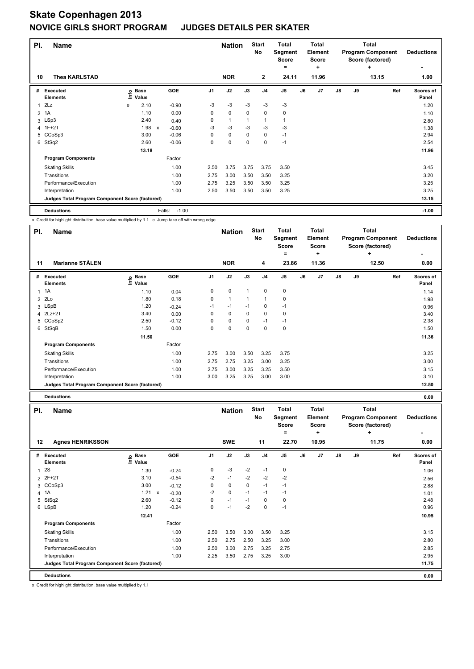| PI.            | <b>Name</b>                                     |   |                      |                           |                   |                | <b>Nation</b> |             | <b>Start</b><br>No | <b>Total</b><br>Segment<br><b>Score</b><br>٠ |    | <b>Total</b><br>Element<br><b>Score</b><br>٠ |               |    | <b>Total</b><br><b>Program Component</b><br>Score (factored)<br>÷ | <b>Deductions</b><br>٠ |
|----------------|-------------------------------------------------|---|----------------------|---------------------------|-------------------|----------------|---------------|-------------|--------------------|----------------------------------------------|----|----------------------------------------------|---------------|----|-------------------------------------------------------------------|------------------------|
| 10             | <b>Thea KARLSTAD</b>                            |   |                      |                           |                   |                | <b>NOR</b>    |             | $\overline{2}$     | 24.11                                        |    | 11.96                                        |               |    | 13.15                                                             | 1.00                   |
| #              | Executed<br><b>Elements</b>                     | e | <b>Base</b><br>Value |                           | <b>GOE</b>        | J <sub>1</sub> | J2            | J3          | J <sub>4</sub>     | J <sub>5</sub>                               | J6 | J <sub>7</sub>                               | $\mathsf{J}8$ | J9 | Ref                                                               | Scores of<br>Panel     |
| 1              | 2Lz                                             | e | 2.10                 |                           | $-0.90$           | -3             | $-3$          | -3          | -3                 | -3                                           |    |                                              |               |    |                                                                   | 1.20                   |
| $\overline{2}$ | 1A                                              |   | 1.10                 |                           | 0.00              | 0              | $\mathbf 0$   | 0           | $\mathbf 0$        | 0                                            |    |                                              |               |    |                                                                   | 1.10                   |
|                | 3 LSp3                                          |   | 2.40                 |                           | 0.40              | 0              | $\mathbf{1}$  | 1           | 1                  | 1                                            |    |                                              |               |    |                                                                   | 2.80                   |
|                | 4 1F+2T                                         |   | 1.98                 | $\boldsymbol{\mathsf{x}}$ | $-0.60$           | -3             | -3            | -3          | -3                 | $-3$                                         |    |                                              |               |    |                                                                   | 1.38                   |
|                | 5 CCoSp3                                        |   | 3.00                 |                           | $-0.06$           | 0              | 0             | 0           | 0                  | $-1$                                         |    |                                              |               |    |                                                                   | 2.94                   |
|                | 6 StSq2                                         |   | 2.60                 |                           | $-0.06$           | 0              | $\mathbf 0$   | $\mathbf 0$ | $\mathbf 0$        | $-1$                                         |    |                                              |               |    |                                                                   | 2.54                   |
|                |                                                 |   | 13.18                |                           |                   |                |               |             |                    |                                              |    |                                              |               |    |                                                                   | 11.96                  |
|                | <b>Program Components</b>                       |   |                      |                           | Factor            |                |               |             |                    |                                              |    |                                              |               |    |                                                                   |                        |
|                | <b>Skating Skills</b>                           |   |                      |                           | 1.00              | 2.50           | 3.75          | 3.75        | 3.75               | 3.50                                         |    |                                              |               |    |                                                                   | 3.45                   |
|                | Transitions                                     |   |                      |                           | 1.00              | 2.75           | 3.00          | 3.50        | 3.50               | 3.25                                         |    |                                              |               |    |                                                                   | 3.20                   |
|                | Performance/Execution                           |   |                      |                           | 1.00              | 2.75           | 3.25          | 3.50        | 3.50               | 3.25                                         |    |                                              |               |    |                                                                   | 3.25                   |
|                | Interpretation                                  |   |                      |                           | 1.00              | 2.50           | 3.50          | 3.50        | 3.50               | 3.25                                         |    |                                              |               |    |                                                                   | 3.25                   |
|                | Judges Total Program Component Score (factored) |   |                      |                           |                   |                |               |             |                    |                                              |    |                                              |               |    |                                                                   | 13.15                  |
|                | <b>Deductions</b>                               |   |                      |                           | $-1.00$<br>Falls: |                |               |             |                    |                                              |    |                                              |               |    |                                                                   | $-1.00$                |

x Credit for highlight distribution, base value multiplied by 1.1 e Jump take off with wrong edge

| PI.          | <b>Name</b>                                     |                              |         |                | <b>Nation</b> |      | <b>Start</b><br>No | Total<br>Segment<br><b>Score</b><br>۰ |    | <b>Total</b><br>Element<br><b>Score</b><br>٠ |               |    | <b>Total</b><br><b>Program Component</b><br>Score (factored)<br>$\ddot{}$ | <b>Deductions</b>  |
|--------------|-------------------------------------------------|------------------------------|---------|----------------|---------------|------|--------------------|---------------------------------------|----|----------------------------------------------|---------------|----|---------------------------------------------------------------------------|--------------------|
| 11           | <b>Marianne STÅLEN</b>                          |                              |         |                | <b>NOR</b>    |      | 4                  | 23.86                                 |    | 11.36                                        |               |    | 12.50                                                                     | 0.00               |
| #            | Executed<br><b>Elements</b>                     | <b>Base</b><br>Info<br>Value | GOE     | J <sub>1</sub> | J2            | J3   | J <sub>4</sub>     | J <sub>5</sub>                        | J6 | J7                                           | $\mathsf{J}8$ | J9 | Ref                                                                       | Scores of<br>Panel |
| $\mathbf{1}$ | 1A                                              | 1.10                         | 0.04    | 0              | 0             | 1    | 0                  | 0                                     |    |                                              |               |    |                                                                           | 1.14               |
| 2            | 2Lo                                             | 1.80                         | 0.18    | $\Omega$       | $\mathbf{1}$  | 1    | $\overline{1}$     | 0                                     |    |                                              |               |    |                                                                           | 1.98               |
|              | 3 LSpB                                          | 1.20                         | $-0.24$ | $-1$           | $-1$          | $-1$ | 0                  | $-1$                                  |    |                                              |               |    |                                                                           | 0.96               |
|              | 4 2Lz+2T                                        | 3.40                         | 0.00    | 0              | 0             | 0    | $\mathbf 0$        | 0                                     |    |                                              |               |    |                                                                           | 3.40               |
|              | 5 CCoSp2                                        | 2.50                         | $-0.12$ | 0              | $\mathbf 0$   | 0    | $-1$               | $-1$                                  |    |                                              |               |    |                                                                           | 2.38               |
| 6            | StSqB                                           | 1.50                         | 0.00    | 0              | $\mathbf 0$   | 0    | 0                  | 0                                     |    |                                              |               |    |                                                                           | 1.50               |
|              |                                                 | 11.50                        |         |                |               |      |                    |                                       |    |                                              |               |    |                                                                           | 11.36              |
|              | <b>Program Components</b>                       |                              | Factor  |                |               |      |                    |                                       |    |                                              |               |    |                                                                           |                    |
|              | <b>Skating Skills</b>                           |                              | 1.00    | 2.75           | 3.00          | 3.50 | 3.25               | 3.75                                  |    |                                              |               |    |                                                                           | 3.25               |
|              | Transitions                                     |                              | 1.00    | 2.75           | 2.75          | 3.25 | 3.00               | 3.25                                  |    |                                              |               |    |                                                                           | 3.00               |
|              | Performance/Execution                           |                              | 1.00    | 2.75           | 3.00          | 3.25 | 3.25               | 3.50                                  |    |                                              |               |    |                                                                           | 3.15               |
|              | Interpretation                                  |                              | 1.00    | 3.00           | 3.25          | 3.25 | 3.00               | 3.00                                  |    |                                              |               |    |                                                                           | 3.10               |
|              | Judges Total Program Component Score (factored) |                              |         |                |               |      |                    |                                       |    |                                              |               |    |                                                                           | 12.50              |

**Deductions 0.00**

| PI.           | <b>Name</b>                                     |                            |              |            |                | <b>Nation</b> |             | <b>Start</b><br>No | <b>Total</b><br>Segment<br><b>Score</b> |    | <b>Total</b><br>Element<br><b>Score</b> |               |    | <b>Total</b><br><b>Program Component</b><br>Score (factored) | <b>Deductions</b>  |
|---------------|-------------------------------------------------|----------------------------|--------------|------------|----------------|---------------|-------------|--------------------|-----------------------------------------|----|-----------------------------------------|---------------|----|--------------------------------------------------------------|--------------------|
|               |                                                 |                            |              |            |                |               |             |                    | =                                       |    | ٠                                       |               |    | ÷                                                            |                    |
| 12            | <b>Agnes HENRIKSSON</b>                         |                            |              |            |                | <b>SWE</b>    |             | 11                 | 22.70                                   |    | 10.95                                   |               |    | 11.75                                                        | 0.00               |
| #             | <b>Executed</b><br><b>Elements</b>              | e Base<br>E Value<br>Value |              | <b>GOE</b> | J <sub>1</sub> | J2            | J3          | J <sub>4</sub>     | J <sub>5</sub>                          | J6 | J7                                      | $\mathsf{J}8$ | J9 | Ref                                                          | Scores of<br>Panel |
| $\mathbf{1}$  | 2S                                              | 1.30                       |              | $-0.24$    | 0              | $-3$          | $-2$        | $-1$               | 0                                       |    |                                         |               |    |                                                              | 1.06               |
| $\mathcal{P}$ | $2F+2T$                                         | 3.10                       |              | $-0.54$    | $-2$           | $-1$          | $-2$        | $-2$               | $-2$                                    |    |                                         |               |    |                                                              | 2.56               |
| 3             | CCoSp3                                          | 3.00                       |              | $-0.12$    | 0              | $\pmb{0}$     | $\mathbf 0$ | $-1$               | $-1$                                    |    |                                         |               |    |                                                              | 2.88               |
|               | 4 1A                                            | 1.21                       | $\mathsf{x}$ | $-0.20$    | $-2$           | 0             | $-1$        | $-1$               | $-1$                                    |    |                                         |               |    |                                                              | 1.01               |
| 5             | StSq2                                           | 2.60                       |              | $-0.12$    | 0              | $-1$          | $-1$        | $\mathbf 0$        | 0                                       |    |                                         |               |    |                                                              | 2.48               |
|               | 6 LSpB                                          | 1.20                       |              | $-0.24$    | 0              | $-1$          | $-2$        | $\mathbf 0$        | $-1$                                    |    |                                         |               |    |                                                              | 0.96               |
|               |                                                 | 12.41                      |              |            |                |               |             |                    |                                         |    |                                         |               |    |                                                              | 10.95              |
|               | <b>Program Components</b>                       |                            |              | Factor     |                |               |             |                    |                                         |    |                                         |               |    |                                                              |                    |
|               | <b>Skating Skills</b>                           |                            |              | 1.00       | 2.50           | 3.50          | 3.00        | 3.50               | 3.25                                    |    |                                         |               |    |                                                              | 3.15               |
|               | Transitions                                     |                            |              | 1.00       | 2.50           | 2.75          | 2.50        | 3.25               | 3.00                                    |    |                                         |               |    |                                                              | 2.80               |
|               | Performance/Execution                           |                            |              | 1.00       | 2.50           | 3.00          | 2.75        | 3.25               | 2.75                                    |    |                                         |               |    |                                                              | 2.85               |
|               | Interpretation                                  |                            |              | 1.00       | 2.25           | 3.50          | 2.75        | 3.25               | 3.00                                    |    |                                         |               |    |                                                              | 2.95               |
|               | Judges Total Program Component Score (factored) |                            |              |            |                |               |             |                    |                                         |    |                                         |               |    |                                                              | 11.75              |
|               | <b>Deductions</b>                               |                            |              |            |                |               |             |                    |                                         |    |                                         |               |    |                                                              | 0.00               |

x Credit for highlight distribution, base value multiplied by 1.1